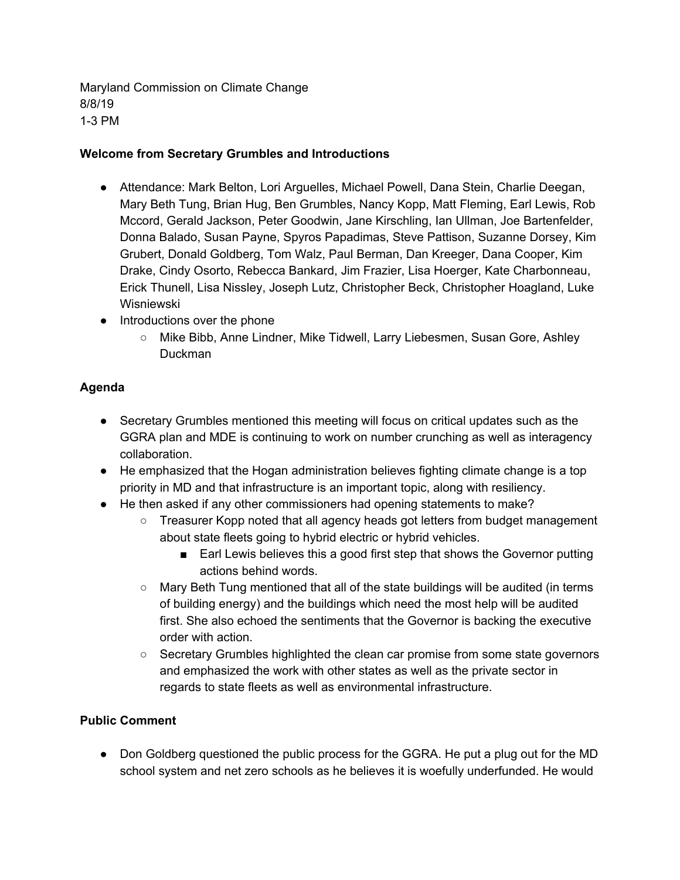Maryland Commission on Climate Change 8/8/19 1-3 PM

#### **Welcome from Secretary Grumbles and Introductions**

- Attendance: Mark Belton, Lori Arguelles, Michael Powell, Dana Stein, Charlie Deegan, Mary Beth Tung, Brian Hug, Ben Grumbles, Nancy Kopp, Matt Fleming, Earl Lewis, Rob Mccord, Gerald Jackson, Peter Goodwin, Jane Kirschling, Ian Ullman, Joe Bartenfelder, Donna Balado, Susan Payne, Spyros Papadimas, Steve Pattison, Suzanne Dorsey, Kim Grubert, Donald Goldberg, Tom Walz, Paul Berman, Dan Kreeger, Dana Cooper, Kim Drake, Cindy Osorto, Rebecca Bankard, Jim Frazier, Lisa Hoerger, Kate Charbonneau, Erick Thunell, Lisa Nissley, Joseph Lutz, Christopher Beck, Christopher Hoagland, Luke Wisniewski
- Introductions over the phone
	- Mike Bibb, Anne Lindner, Mike Tidwell, Larry Liebesmen, Susan Gore, Ashley Duckman

### **Agenda**

- Secretary Grumbles mentioned this meeting will focus on critical updates such as the GGRA plan and MDE is continuing to work on number crunching as well as interagency collaboration.
- He emphasized that the Hogan administration believes fighting climate change is a top priority in MD and that infrastructure is an important topic, along with resiliency.
- He then asked if any other commissioners had opening statements to make?
	- Treasurer Kopp noted that all agency heads got letters from budget management about state fleets going to hybrid electric or hybrid vehicles.
		- Earl Lewis believes this a good first step that shows the Governor putting actions behind words.
	- Mary Beth Tung mentioned that all of the state buildings will be audited (in terms of building energy) and the buildings which need the most help will be audited first. She also echoed the sentiments that the Governor is backing the executive order with action.
	- Secretary Grumbles highlighted the clean car promise from some state governors and emphasized the work with other states as well as the private sector in regards to state fleets as well as environmental infrastructure.

### **Public Comment**

● Don Goldberg questioned the public process for the GGRA. He put a plug out for the MD school system and net zero schools as he believes it is woefully underfunded. He would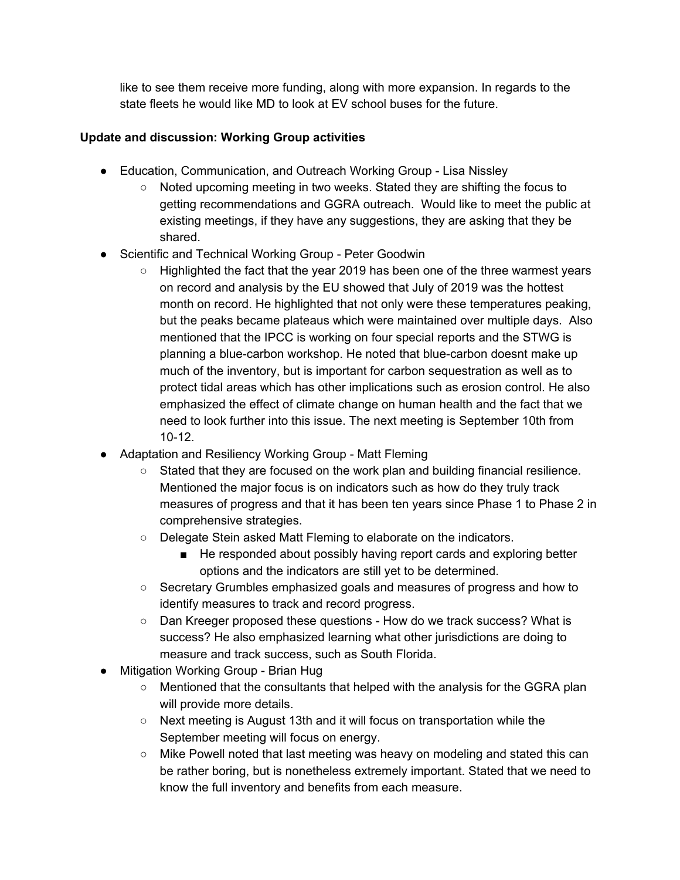like to see them receive more funding, along with more expansion. In regards to the state fleets he would like MD to look at EV school buses for the future.

### **Update and discussion: Working Group activities**

- Education, Communication, and Outreach Working Group Lisa Nissley
	- Noted upcoming meeting in two weeks. Stated they are shifting the focus to getting recommendations and GGRA outreach. Would like to meet the public at existing meetings, if they have any suggestions, they are asking that they be shared.
- Scientific and Technical Working Group Peter Goodwin
	- $\circ$  Highlighted the fact that the year 2019 has been one of the three warmest years on record and analysis by the EU showed that July of 2019 was the hottest month on record. He highlighted that not only were these temperatures peaking, but the peaks became plateaus which were maintained over multiple days. Also mentioned that the IPCC is working on four special reports and the STWG is planning a blue-carbon workshop. He noted that blue-carbon doesnt make up much of the inventory, but is important for carbon sequestration as well as to protect tidal areas which has other implications such as erosion control. He also emphasized the effect of climate change on human health and the fact that we need to look further into this issue. The next meeting is September 10th from 10-12.
- Adaptation and Resiliency Working Group Matt Fleming
	- Stated that they are focused on the work plan and building financial resilience. Mentioned the major focus is on indicators such as how do they truly track measures of progress and that it has been ten years since Phase 1 to Phase 2 in comprehensive strategies.
	- Delegate Stein asked Matt Fleming to elaborate on the indicators.
		- He responded about possibly having report cards and exploring better options and the indicators are still yet to be determined.
	- Secretary Grumbles emphasized goals and measures of progress and how to identify measures to track and record progress.
	- Dan Kreeger proposed these questions How do we track success? What is success? He also emphasized learning what other jurisdictions are doing to measure and track success, such as South Florida.
- Mitigation Working Group Brian Hug
	- Mentioned that the consultants that helped with the analysis for the GGRA plan will provide more details.
	- Next meeting is August 13th and it will focus on transportation while the September meeting will focus on energy.
	- $\circ$  Mike Powell noted that last meeting was heavy on modeling and stated this can be rather boring, but is nonetheless extremely important. Stated that we need to know the full inventory and benefits from each measure.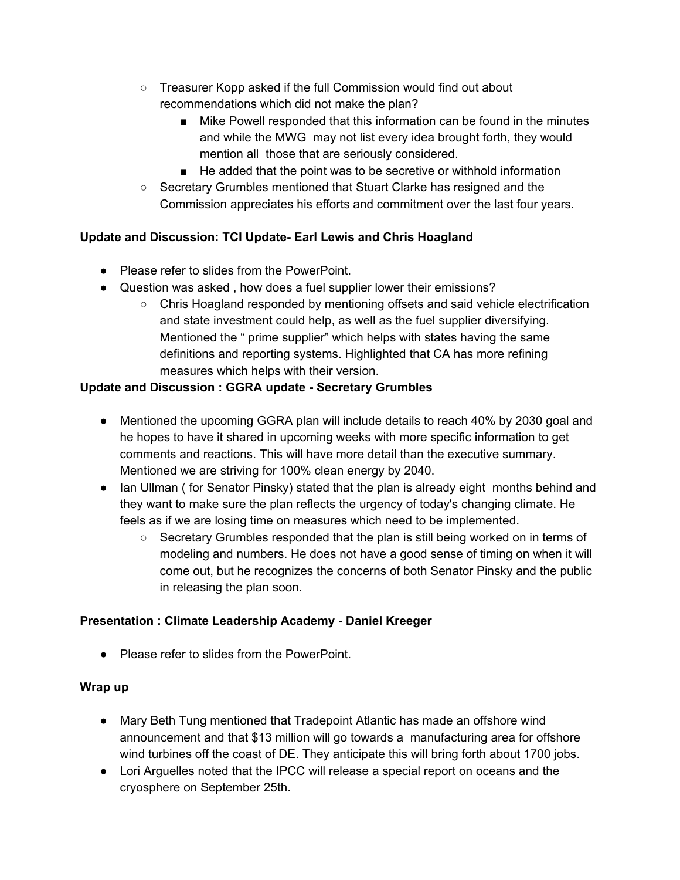- Treasurer Kopp asked if the full Commission would find out about recommendations which did not make the plan?
	- Mike Powell responded that this information can be found in the minutes and while the MWG may not list every idea brought forth, they would mention all those that are seriously considered.
	- He added that the point was to be secretive or withhold information
- Secretary Grumbles mentioned that Stuart Clarke has resigned and the Commission appreciates his efforts and commitment over the last four years.

# **Update and Discussion: TCI Update- Earl Lewis and Chris Hoagland**

- Please refer to slides from the PowerPoint.
- Question was asked , how does a fuel supplier lower their emissions?
	- Chris Hoagland responded by mentioning offsets and said vehicle electrification and state investment could help, as well as the fuel supplier diversifying. Mentioned the " prime supplier" which helps with states having the same definitions and reporting systems. Highlighted that CA has more refining measures which helps with their version.

## **Update and Discussion : GGRA update - Secretary Grumbles**

- Mentioned the upcoming GGRA plan will include details to reach 40% by 2030 goal and he hopes to have it shared in upcoming weeks with more specific information to get comments and reactions. This will have more detail than the executive summary. Mentioned we are striving for 100% clean energy by 2040.
- Ian Ullman (for Senator Pinsky) stated that the plan is already eight months behind and they want to make sure the plan reflects the urgency of today's changing climate. He feels as if we are losing time on measures which need to be implemented.
	- Secretary Grumbles responded that the plan is still being worked on in terms of modeling and numbers. He does not have a good sense of timing on when it will come out, but he recognizes the concerns of both Senator Pinsky and the public in releasing the plan soon.

## **Presentation : Climate Leadership Academy - Daniel Kreeger**

● Please refer to slides from the PowerPoint.

### **Wrap up**

- Mary Beth Tung mentioned that Tradepoint Atlantic has made an offshore wind announcement and that \$13 million will go towards a manufacturing area for offshore wind turbines off the coast of DE. They anticipate this will bring forth about 1700 jobs.
- Lori Arguelles noted that the IPCC will release a special report on oceans and the cryosphere on September 25th.